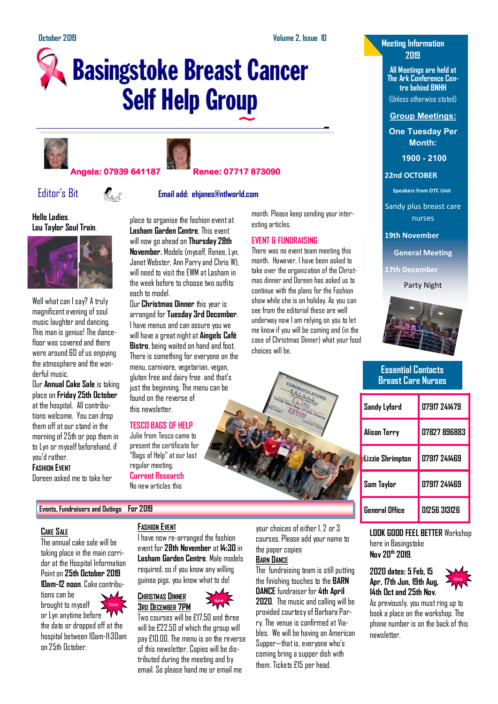# **Basingstoke Breast Cancer Self Help Group**





# **Angela: 07939 641187 Renee: 07717 873090**



# Editor's Bit **Email add: ehjanes@ntlworld.com**

# **Hello Ladies**. **Lou Taylor Soul Train**.



Well what can I say? A truly magnificent evening of soul music laughter and dancing. This man is genius! The dancefloor was covered and there were around 60 of us enjoying the atmosphere and the wonderful music.

Our **Annual Cake Sale** is taking place on **Friday 25th October** at the hospital. All contributions welcome. You can drop them off at our stand in the morning of 25th or pop them in to Lyn or myself beforehand, if you'd rather.

## **FASHION EVENT**

Doreen asked me to take her

place to organise the fashion event at **Lasham Garden Centre**. This event will now go ahead on **Thursday 28th November.** Models (myself, Renee, Lyn, Janet Webster, Ann Parry and Chris W), will need to visit the FWM at Lasham in the week before to choose two outfits each to model.

Our **Christmas Dinner** this year is arranged for **Tuesday 3rd December**. I have menus and can assure you we will have a great night at **Aingels Café Bistro**, being waited on hand and foot. There is something for everyone on the menu, carnivore, vegetarian, vegan, gluten free and dairy free and that's just the beginning. The menu can be found on the reverse of this newsletter.

# **TESCO BAGS OF HELP**

present the certificate for "Bags of Help" at our last regular meeting. **Current Research**

Julie from Tesco came to

No new articles this

month. Please keep sending your interesting articles.

# **EVENT & FUNDRAISING**

There was no event team meeting this month. However, I have been asked to take over the organization of the Christmas dinner and Doreen has asked us to continue with the plans for the Fashion show while she is on holiday. As you can see from the editorial these are well underway now I am relying on you to let me know if you will be coming and (in the case of Christmas Dinner) what your food choices will be.



# **Meeting Information 2019**

**All Meetings are held at The Ark Conference Centre behind BNHH**

(Unless otherwise stated)

**Group Meetings:**

**One Tuesday Per Month:**

**1900 - 2100** 

# **22nd OCTOBER**

**Speakers from DTC Unit**

Sandy plus breast care nurses

**19th November**

**General Meeting**

**17th December**

Party Night



# **Essential Contacts Breast Care Nurses**

| Sandy Lyford            | 07917 241479        |
|-------------------------|---------------------|
| Alison Terry            | <b>N7827 896883</b> |
| <b>Lizzie Shrimpton</b> | 07917 741469        |
| Sam Taylor              | 07917 241469        |
| General Office          | 01256 313126        |

# **CAKE SALE**

The annual cake sale will be taking place in the main corridor at the Hospital Information Point on **25th October 2019 10am-12 noon**. Cake contribu-

**Events, Fundraisers and Outings For 2019** 

tions can be brought to myself

or Lyn anytime before the date or dropped off at the hospital between 10am-11:30am on 25th October.

# **FASHION EVENT**

I have now re-arranged the fashion event for **28th November** at **14:30** in **Lasham Garden Centre**. Male models required, so if you know any willing guinea pigs, you know what to do!



Two courses will be £17.50 and three will be £22.50 of which the group will pay £10.00. The menu is on the reverse of this newsletter. Copies will be distributed during the meeting and by email. So please hand me or email me

your choices of either 1, 2 or 3 courses. Please add your name to the paper copies **BARN DANCE**

The fundraising team is still putting the finishing touches to the **BARN DANCE** fundraiser for **4th April 2020**. The music and calling will be provided courtesy of Barbara Parry. The venue is confirmed at Viables. We will be having an American Supper—that is, everyone who's coming bring a supper dish with them. Tickets £15 per head.

**LOOK GOOD FEEL BETTER** Workshop here in Basingstoke **Nov 20th 2019**,

**2020 dates: 5 Feb, 15 Apr, 17th Jun, 19th Aug, 14th Oct and 25th Nov.**



As previously, you must ring up to book a place on the workshop. The phone number is on the back of this newsletter.